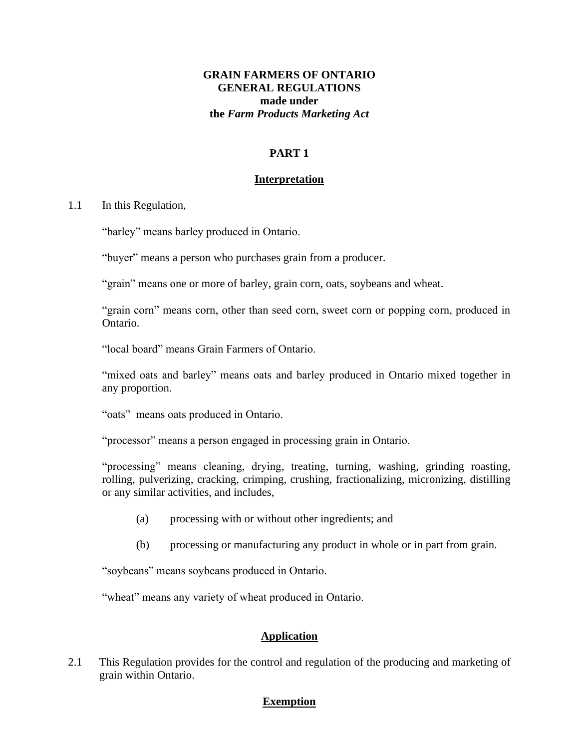# **GRAIN FARMERS OF ONTARIO GENERAL REGULATIONS made under the** *Farm Products Marketing Act*

# **PART 1**

#### **Interpretation**

#### 1.1 In this Regulation,

"barley" means barley produced in Ontario.

"buyer" means a person who purchases grain from a producer.

"grain" means one or more of barley, grain corn, oats, soybeans and wheat.

"grain corn" means corn, other than seed corn, sweet corn or popping corn, produced in Ontario.

"local board" means Grain Farmers of Ontario.

"mixed oats and barley" means oats and barley produced in Ontario mixed together in any proportion.

"oats" means oats produced in Ontario.

"processor" means a person engaged in processing grain in Ontario.

"processing" means cleaning, drying, treating, turning, washing, grinding roasting, rolling, pulverizing, cracking, crimping, crushing, fractionalizing, micronizing, distilling or any similar activities, and includes,

- (a) processing with or without other ingredients; and
- (b) processing or manufacturing any product in whole or in part from grain.

"soybeans" means soybeans produced in Ontario.

"wheat" means any variety of wheat produced in Ontario.

#### **Application**

2.1 This Regulation provides for the control and regulation of the producing and marketing of grain within Ontario.

#### **Exemption**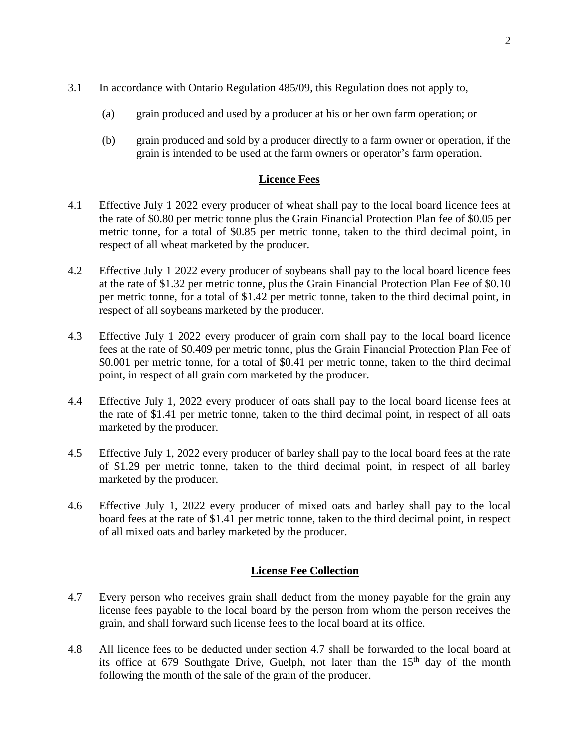- 3.1 In accordance with Ontario Regulation 485/09, this Regulation does not apply to,
	- (a) grain produced and used by a producer at his or her own farm operation; or
	- (b) grain produced and sold by a producer directly to a farm owner or operation, if the grain is intended to be used at the farm owners or operator's farm operation.

# **Licence Fees**

- 4.1 Effective July 1 2022 every producer of wheat shall pay to the local board licence fees at the rate of \$0.80 per metric tonne plus the Grain Financial Protection Plan fee of \$0.05 per metric tonne, for a total of \$0.85 per metric tonne, taken to the third decimal point, in respect of all wheat marketed by the producer.
- 4.2 Effective July 1 2022 every producer of soybeans shall pay to the local board licence fees at the rate of \$1.32 per metric tonne, plus the Grain Financial Protection Plan Fee of \$0.10 per metric tonne, for a total of \$1.42 per metric tonne, taken to the third decimal point, in respect of all soybeans marketed by the producer.
- 4.3 Effective July 1 2022 every producer of grain corn shall pay to the local board licence fees at the rate of \$0.409 per metric tonne, plus the Grain Financial Protection Plan Fee of \$0.001 per metric tonne, for a total of \$0.41 per metric tonne, taken to the third decimal point, in respect of all grain corn marketed by the producer.
- 4.4 Effective July 1, 2022 every producer of oats shall pay to the local board license fees at the rate of \$1.41 per metric tonne, taken to the third decimal point, in respect of all oats marketed by the producer.
- 4.5 Effective July 1, 2022 every producer of barley shall pay to the local board fees at the rate of \$1.29 per metric tonne, taken to the third decimal point, in respect of all barley marketed by the producer.
- 4.6 Effective July 1, 2022 every producer of mixed oats and barley shall pay to the local board fees at the rate of \$1.41 per metric tonne, taken to the third decimal point, in respect of all mixed oats and barley marketed by the producer.

#### **License Fee Collection**

- 4.7 Every person who receives grain shall deduct from the money payable for the grain any license fees payable to the local board by the person from whom the person receives the grain, and shall forward such license fees to the local board at its office.
- 4.8 All licence fees to be deducted under section 4.7 shall be forwarded to the local board at its office at  $679$  Southgate Drive, Guelph, not later than the  $15<sup>th</sup>$  day of the month following the month of the sale of the grain of the producer.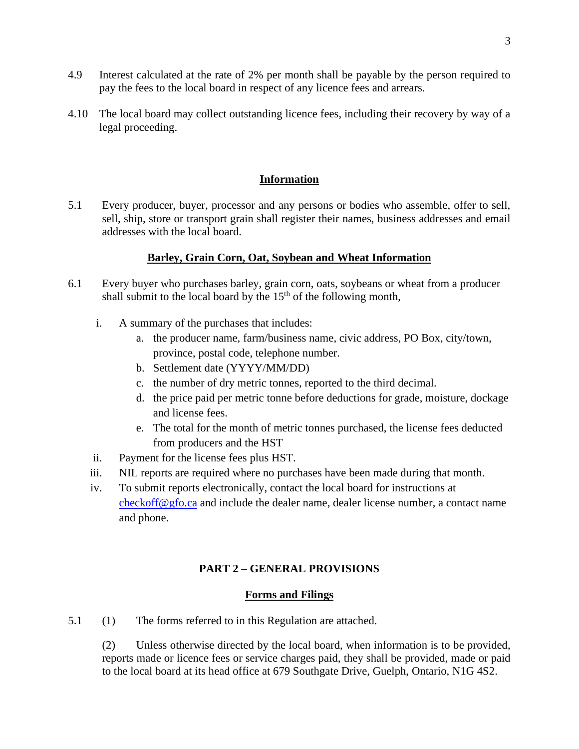- 4.9 Interest calculated at the rate of 2% per month shall be payable by the person required to pay the fees to the local board in respect of any licence fees and arrears.
- 4.10 The local board may collect outstanding licence fees, including their recovery by way of a legal proceeding.

### **Information**

5.1 Every producer, buyer, processor and any persons or bodies who assemble, offer to sell, sell, ship, store or transport grain shall register their names, business addresses and email addresses with the local board.

## **Barley, Grain Corn, Oat, Soybean and Wheat Information**

- 6.1 Every buyer who purchases barley, grain corn, oats, soybeans or wheat from a producer shall submit to the local board by the  $15<sup>th</sup>$  of the following month,
	- i. A summary of the purchases that includes:
		- a. the producer name, farm/business name, civic address, PO Box, city/town, province, postal code, telephone number.
		- b. Settlement date (YYYY/MM/DD)
		- c. the number of dry metric tonnes, reported to the third decimal.
		- d. the price paid per metric tonne before deductions for grade, moisture, dockage and license fees.
		- e. The total for the month of metric tonnes purchased, the license fees deducted from producers and the HST
	- ii. Payment for the license fees plus HST.
	- iii. NIL reports are required where no purchases have been made during that month.
	- iv. To submit reports electronically, contact the local board for instructions at  $checkoff@gfo.ca$  and include the dealer name, dealer license number, a contact name and phone.

# **PART 2 – GENERAL PROVISIONS**

#### **Forms and Filings**

5.1 (1) The forms referred to in this Regulation are attached.

(2) Unless otherwise directed by the local board, when information is to be provided, reports made or licence fees or service charges paid, they shall be provided, made or paid to the local board at its head office at 679 Southgate Drive, Guelph, Ontario, N1G 4S2.